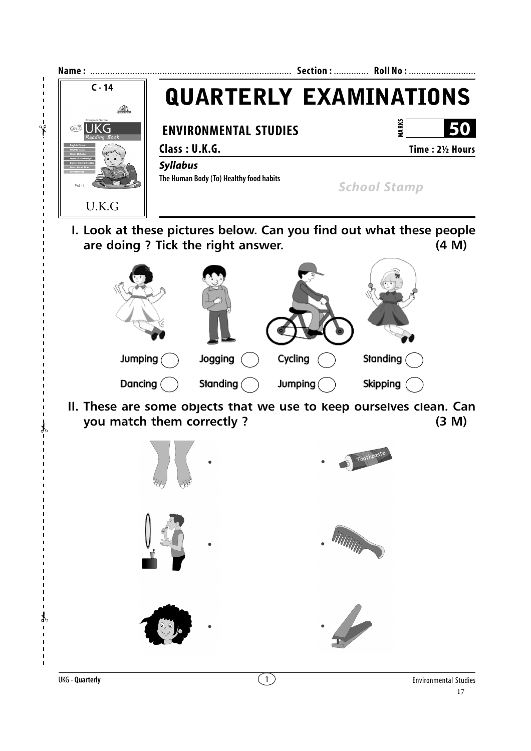

✃

 $\overline{1}$ 

 $\mathbf{I}$ 

 $\mathbf{I}$  $\mathbf{I}$  $\mathbf{I}$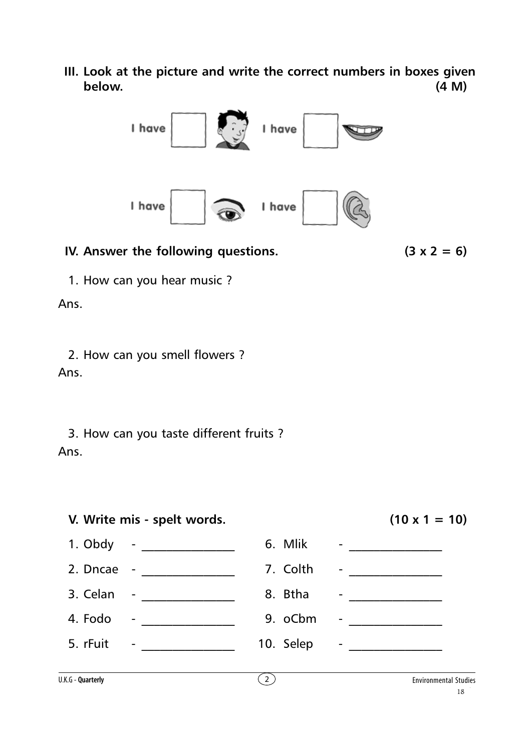**III. Look at the picture and write the correct numbers in boxes given below. (4 M)**



## **IV.** Answer the following questions.  $(3 \times 2 = 6)$

1. How can you hear music ?

Ans.

2. How can you smell flowers ? Ans.

3. How can you taste different fruits ? Ans.

## **V. Write mis - spelt words. (10 x 1 = 10)**